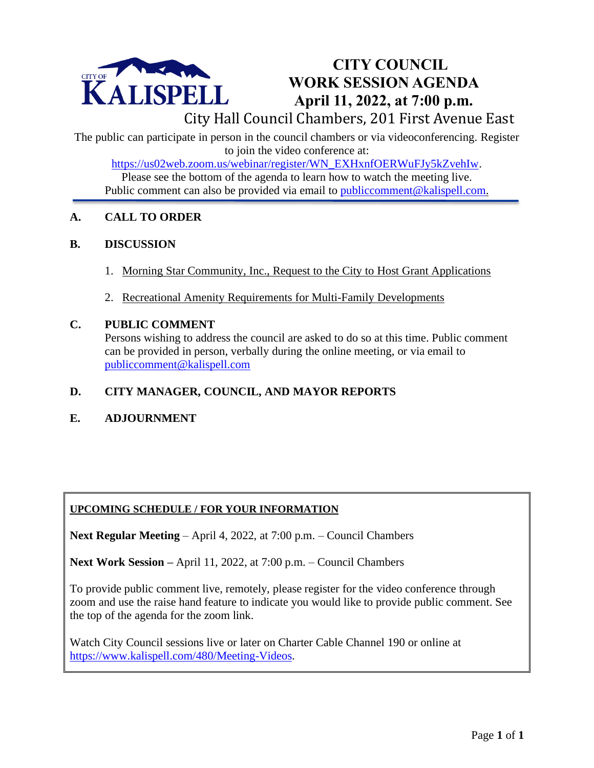

## **CITY COUNCIL WORK SESSION AGENDA April 11, 2022, at 7:00 p.m.**

City Hall Council Chambers, 201 First Avenue East

The public can participate in person in the council chambers or via videoconferencing. Register to join the video conference at:

[https://us02web.zoom.us/webinar/register/WN\\_EXHxnfOERWuFJy5kZvehIw.](https://us02web.zoom.us/webinar/register/WN_EXHxnfOERWuFJy5kZvehIw)

Please see the bottom of the agenda to learn how to watch the meeting live. Public comment can also be provided via email to [publiccomment@kalispell.com.](mailto:publiccomment@kalispell.com)

## **A. CALL TO ORDER**

#### **B. DISCUSSION**

- 1. Morning Star Community, Inc., Request to the City to Host Grant Applications
- 2. Recreational Amenity Requirements for Multi-Family Developments

#### **C. PUBLIC COMMENT**

Persons wishing to address the council are asked to do so at this time. Public comment can be provided in person, verbally during the online meeting, or via email to [publiccomment@kalispell.com](mailto:publiccomment@kalispell.com)

## **D. CITY MANAGER, COUNCIL, AND MAYOR REPORTS**

**E. ADJOURNMENT**

## **UPCOMING SCHEDULE / FOR YOUR INFORMATION**

**Next Regular Meeting** – April 4, 2022, at 7:00 p.m. – Council Chambers

**Next Work Session –** April 11, 2022, at 7:00 p.m. – Council Chambers

To provide public comment live, remotely, please register for the video conference through zoom and use the raise hand feature to indicate you would like to provide public comment. See the top of the agenda for the zoom link.

Watch City Council sessions live or later on Charter Cable Channel 190 or online at [https://www.kalispell.com/480/Meeting-Videos.](https://www.kalispell.com/480/Meeting-Videos)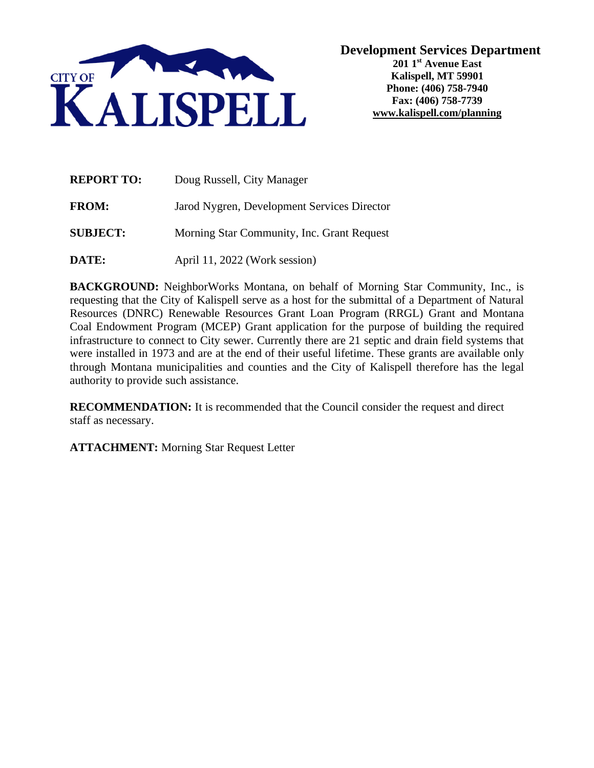

| <b>REPORT TO:</b> | Doug Russell, City Manager                  |
|-------------------|---------------------------------------------|
| <b>FROM:</b>      | Jarod Nygren, Development Services Director |
| <b>SUBJECT:</b>   | Morning Star Community, Inc. Grant Request  |
| DATE:             | April 11, 2022 (Work session)               |

**BACKGROUND:** NeighborWorks Montana, on behalf of Morning Star Community, Inc., is requesting that the City of Kalispell serve as a host for the submittal of a Department of Natural Resources (DNRC) Renewable Resources Grant Loan Program (RRGL) Grant and Montana Coal Endowment Program (MCEP) Grant application for the purpose of building the required infrastructure to connect to City sewer. Currently there are 21 septic and drain field systems that were installed in 1973 and are at the end of their useful lifetime. These grants are available only through Montana municipalities and counties and the City of Kalispell therefore has the legal authority to provide such assistance.

**RECOMMENDATION:** It is recommended that the Council consider the request and direct staff as necessary.

**ATTACHMENT:** Morning Star Request Letter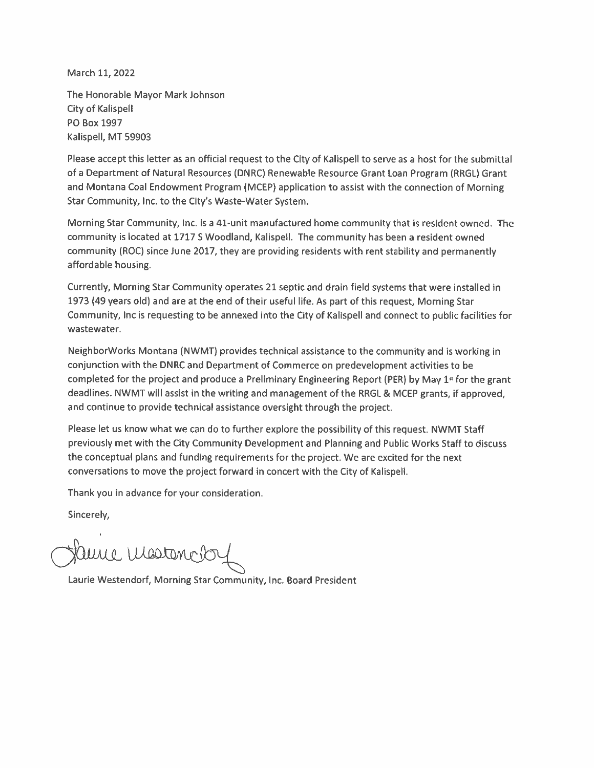March 11, 2022

The Honorable Mayor Mark Johnson **City of Kalispell** PO Box 1997 Kalispell, MT 59903

Please accept this letter as an official request to the City of Kalispell to serve as a host for the submittal of a Department of Natural Resources (DNRC) Renewable Resource Grant Loan Program (RRGL) Grant and Montana Coal Endowment Program (MCEP) application to assist with the connection of Morning Star Community, Inc. to the City's Waste-Water System.

Morning Star Community, Inc. is a 41-unit manufactured home community that is resident owned. The community is located at 1717 S Woodland, Kalispell. The community has been a resident owned community (ROC) since June 2017, they are providing residents with rent stability and permanently affordable housing.

Currently, Morning Star Community operates 21 septic and drain field systems that were installed in 1973 (49 years old) and are at the end of their useful life. As part of this request, Morning Star Community, Inc is requesting to be annexed into the City of Kalispell and connect to public facilities for wastewater.

NeighborWorks Montana (NWMT) provides technical assistance to the community and is working in conjunction with the DNRC and Department of Commerce on predevelopment activities to be completed for the project and produce a Preliminary Engineering Report (PER) by May 1<sup>x</sup> for the grant deadlines. NWMT will assist in the writing and management of the RRGL & MCEP grants, if approved, and continue to provide technical assistance oversight through the project.

Please let us know what we can do to further explore the possibility of this request. NWMT Staff previously met with the City Community Development and Planning and Public Works Staff to discuss the conceptual plans and funding requirements for the project. We are excited for the next conversations to move the project forward in concert with the City of Kalispeli.

Thank you in advance for your consideration.

Sincerely,

aure Mostano

Laurie Westendorf, Morning Star Community, Inc. Board President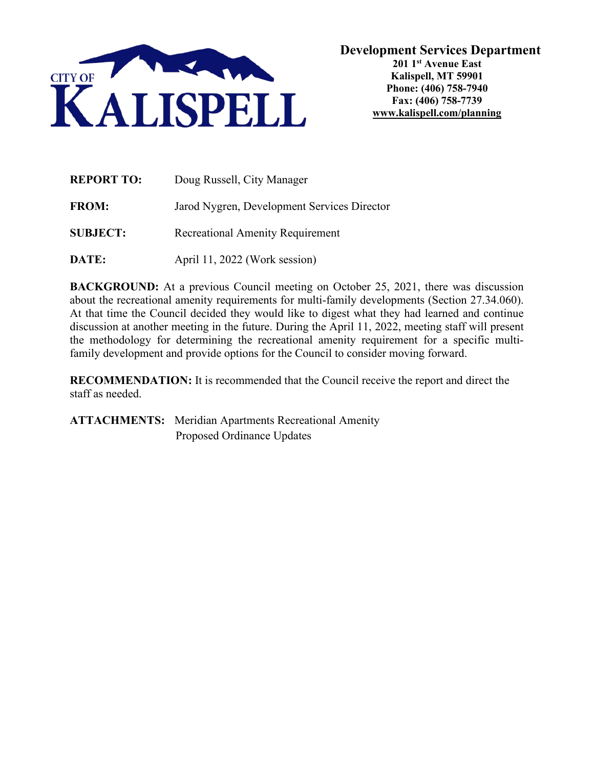

| <b>REPORT TO:</b> | Doug Russell, City Manager                  |  |
|-------------------|---------------------------------------------|--|
| <b>FROM:</b>      | Jarod Nygren, Development Services Director |  |
| <b>SUBJECT:</b>   | <b>Recreational Amenity Requirement</b>     |  |
| DATE:             | April 11, 2022 (Work session)               |  |

**BACKGROUND:** At a previous Council meeting on October 25, 2021, there was discussion about the recreational amenity requirements for multi-family developments (Section 27.34.060). At that time the Council decided they would like to digest what they had learned and continue discussion at another meeting in the future. During the April 11, 2022, meeting staff will present the methodology for determining the recreational amenity requirement for a specific multifamily development and provide options for the Council to consider moving forward.

**RECOMMENDATION:** It is recommended that the Council receive the report and direct the staff as needed.

**ATTACHMENTS:** Meridian Apartments Recreational Amenity Proposed Ordinance Updates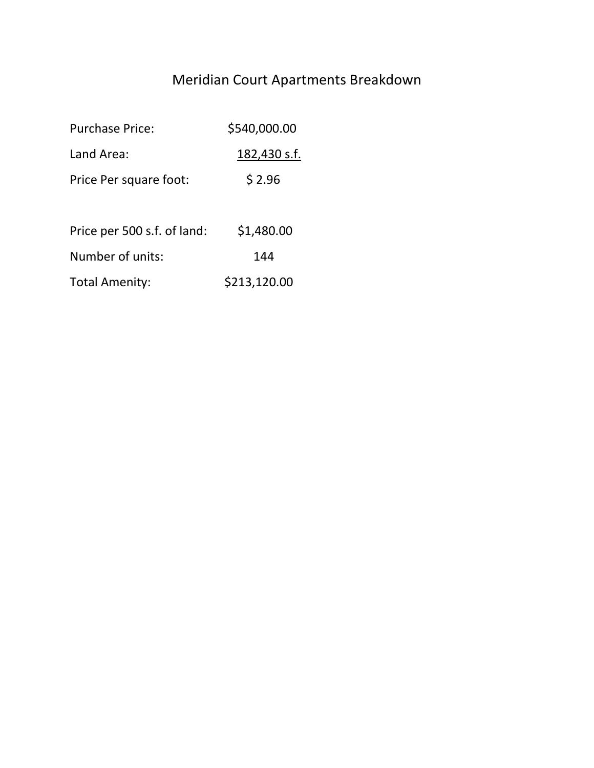# Meridian Court Apartments Breakdown

| <b>Purchase Price:</b>      | \$540,000.00 |  |
|-----------------------------|--------------|--|
| Land Area:                  | 182,430 s.f. |  |
| Price Per square foot:      | \$2.96       |  |
|                             |              |  |
| Price per 500 s.f. of land: | \$1,480.00   |  |
| Number of units:            | 144          |  |
| <b>Total Amenity:</b>       | \$213,120.00 |  |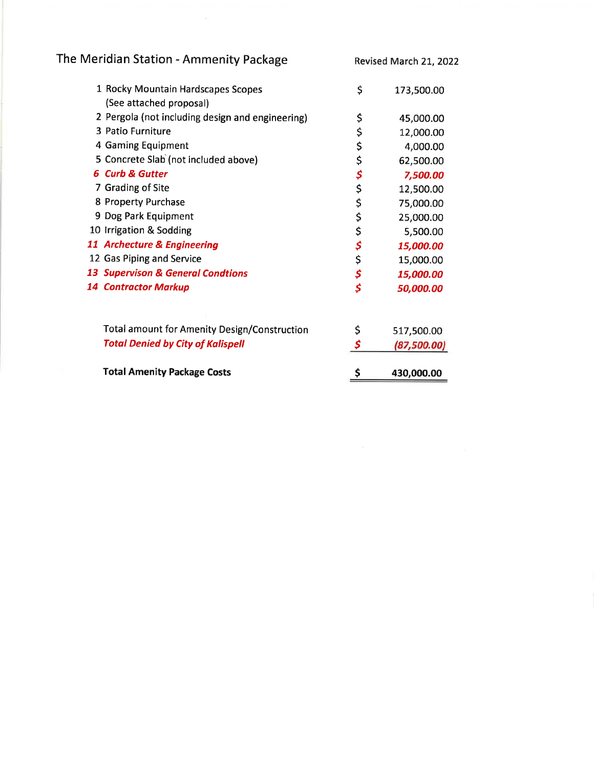The Meridian Station - Ammenity Package

Revised March 21, 2022

| 1 Rocky Mountain Hardscapes Scopes                  | \$ | 173,500.00  |
|-----------------------------------------------------|----|-------------|
| (See attached proposal)                             |    |             |
| 2 Pergola (not including design and engineering)    | \$ | 45,000.00   |
| 3 Patio Furniture                                   | \$ | 12,000.00   |
| 4 Gaming Equipment                                  | \$ | 4,000.00    |
| 5 Concrete Slab (not included above)                |    | 62,500.00   |
| <b>6 Curb &amp; Gutter</b>                          | \$ | 7,500.00    |
| 7 Grading of Site                                   | \$ | 12,500.00   |
| 8 Property Purchase                                 | \$ | 75,000.00   |
| 9 Dog Park Equipment                                | \$ | 25,000.00   |
| 10 Irrigation & Sodding                             | \$ | 5,500.00    |
| <b>11 Archecture &amp; Engineering</b>              | \$ | 15,000.00   |
| 12 Gas Piping and Service                           | \$ | 15,000.00   |
| <b>13 Supervison &amp; General Condtions</b>        | \$ | 15,000.00   |
| <b>14 Contractor Markup</b>                         | \$ | 50,000.00   |
| <b>Total amount for Amenity Design/Construction</b> | \$ | 517,500.00  |
| <b>Total Denied by City of Kalispell</b>            |    | (87,500.00) |
| <b>Total Amenity Package Costs</b>                  | \$ | 430,000.00  |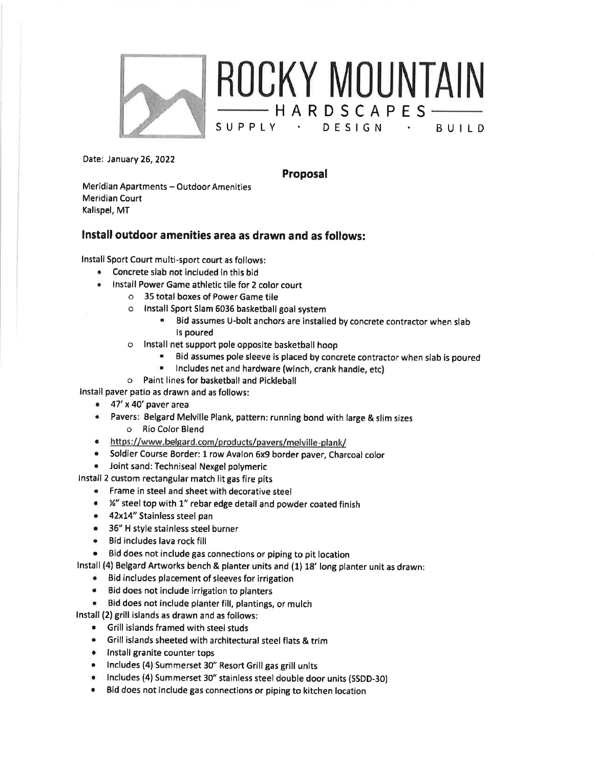

Date: January 26, 2022

Proposal

 $-$  HARDSCAPES $-$ 

BUILD

Meridian Apartments - Outdoor Amenities **Meridian Court** Kalispel, MT

#### Install outdoor amenities area as drawn and as follows:

Install Sport Court multi-sport court as follows:

- Concrete slab not included in this bid
	- Install Power Game athletic tile for 2 color court
		- o 35 total boxes of Power Game tile
		- o Install Sport Slam 6036 basketball goal system
			- Bid assumes U-bolt anchors are installed by concrete contractor when slab Is poured
		- o Install net support pole opposite basketball hoop
			- Bid assumes pole sleeve is placed by concrete contractor when slab is poured
			- Includes net and hardware (winch, crank handle, etc)
		- o Paint lines for basketball and Pickleball

Install paver patio as drawn and as follows:

- $\bullet$  47' x 40' paver area
- Pavers: Belgard Melville Plank, pattern: running bond with large & slim sizes  $\bullet$ o Rio Color Blend
- https://www.belgard.com/products/pavers/melville-plank/
- Soldier Course Border: 1 row Avalon 6x9 border paver, Charcoal color
- Joint sand: Techniseal Nexgel polymeric

Install 2 custom rectangular match lit gas fire pits

- Frame in steel and sheet with decorative steel
- ¼" steel top with 1" rebar edge detail and powder coated finish
- 42x14" Stainless steel pan
- 36" H style stainless steel burner
- Bid includes lava rock fill
- Bid does not include gas connections or piping to pit location

Install (4) Belgard Artworks bench & planter units and (1) 18' long planter unit as drawn:

- Bid includes placement of sleeves for irrigation
- Bid does not include irrigation to planters
- Bid does not include planter fill, plantings, or mulch

Install (2) grill islands as drawn and as follows:

- Grill islands framed with steel studs
- Grill islands sheeted with architectural steel flats & trim
- · Install granite counter tops
- Includes (4) Summerset 30" Resort Grill gas grill units
- · Includes (4) Summerset 30" stainless steel double door units (SSDD-30)
- $\bullet$ Bid does not include gas connections or piping to kitchen location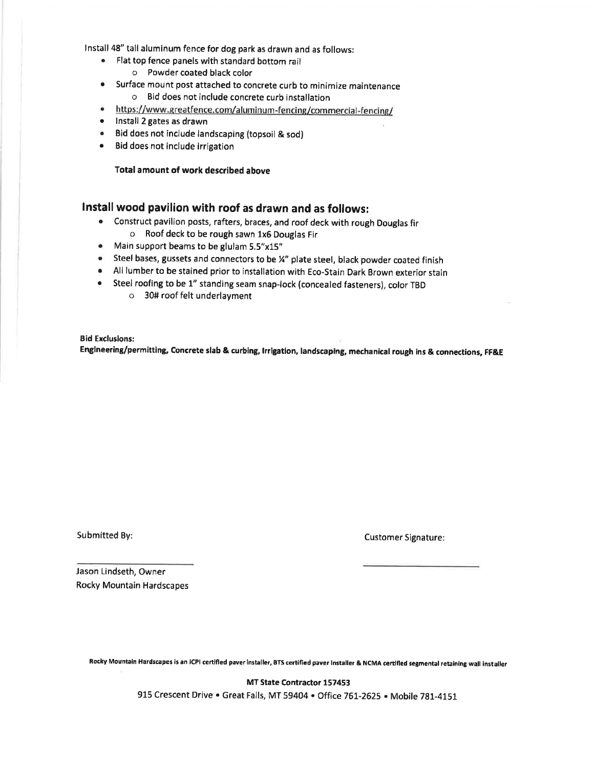Install 48" tall aluminum fence for dog park as drawn and as follows:

- Flat top fence panels with standard bottom rail
	- o Powder coated black color
- Surface mount post attached to concrete curb to minimize maintenance  $\bullet$ o Bid does not include concrete curb installation
- https://www.greatfence.com/aluminum-fencing/commercial-fencing/
- $\bullet$ Install 2 gates as drawn
- Bid does not include landscaping (topsoil & sod)
- Bid does not include irrigation  $\bullet$

Total amount of work described above

#### Install wood pavilion with roof as drawn and as follows:

- Construct pavilion posts, rafters, braces, and roof deck with rough Douglas fir o Roof deck to be rough sawn 1x6 Douglas Fir
- Main support beams to be glulam 5.5"x15"
- Steel bases, gussets and connectors to be ¼" plate steel, black powder coated finish
- . All lumber to be stained prior to installation with Eco-Stain Dark Brown exterior stain
- Steel roofing to be 1" standing seam snap-lock (concealed fasteners), color TBD
	- o 30# roof felt underlayment

**Bid Exclusions:** Engineering/permitting, Concrete slab & curbing, Irrigation, landscaping, mechanical rough ins & connections, FF&E

Submitted By:

**Customer Signature:** 

Jason Lindseth, Owner **Rocky Mountain Hardscapes** 

Rocky Mountain Hardscapes is an ICPI certified paver installer, BTS certified paver Installer & NCMA certified segmental retaining wall installer

MT State Contractor 157453 915 Crescent Drive . Great Falls, MT 59404 . Office 761-2625 . Mobile 781-4151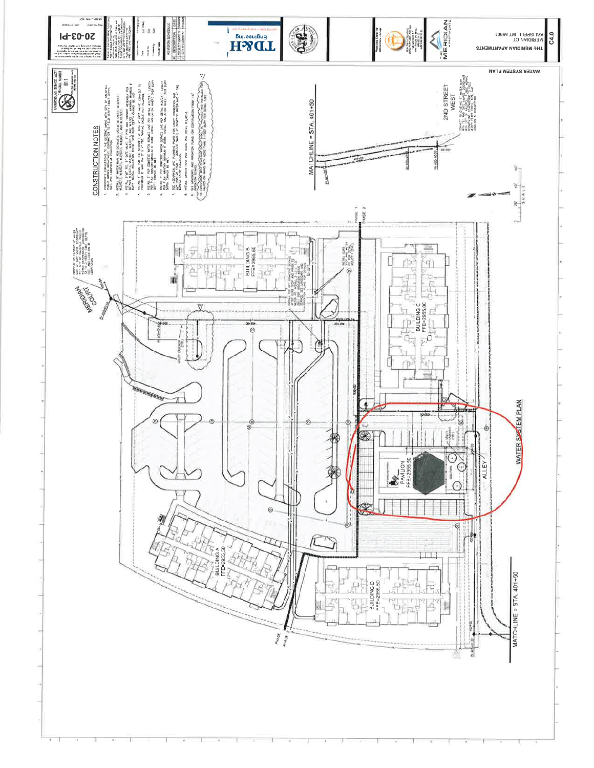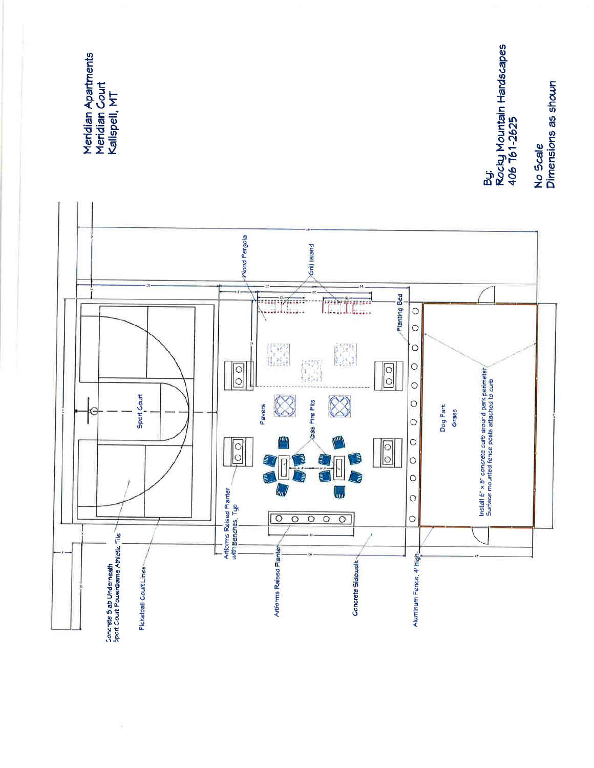